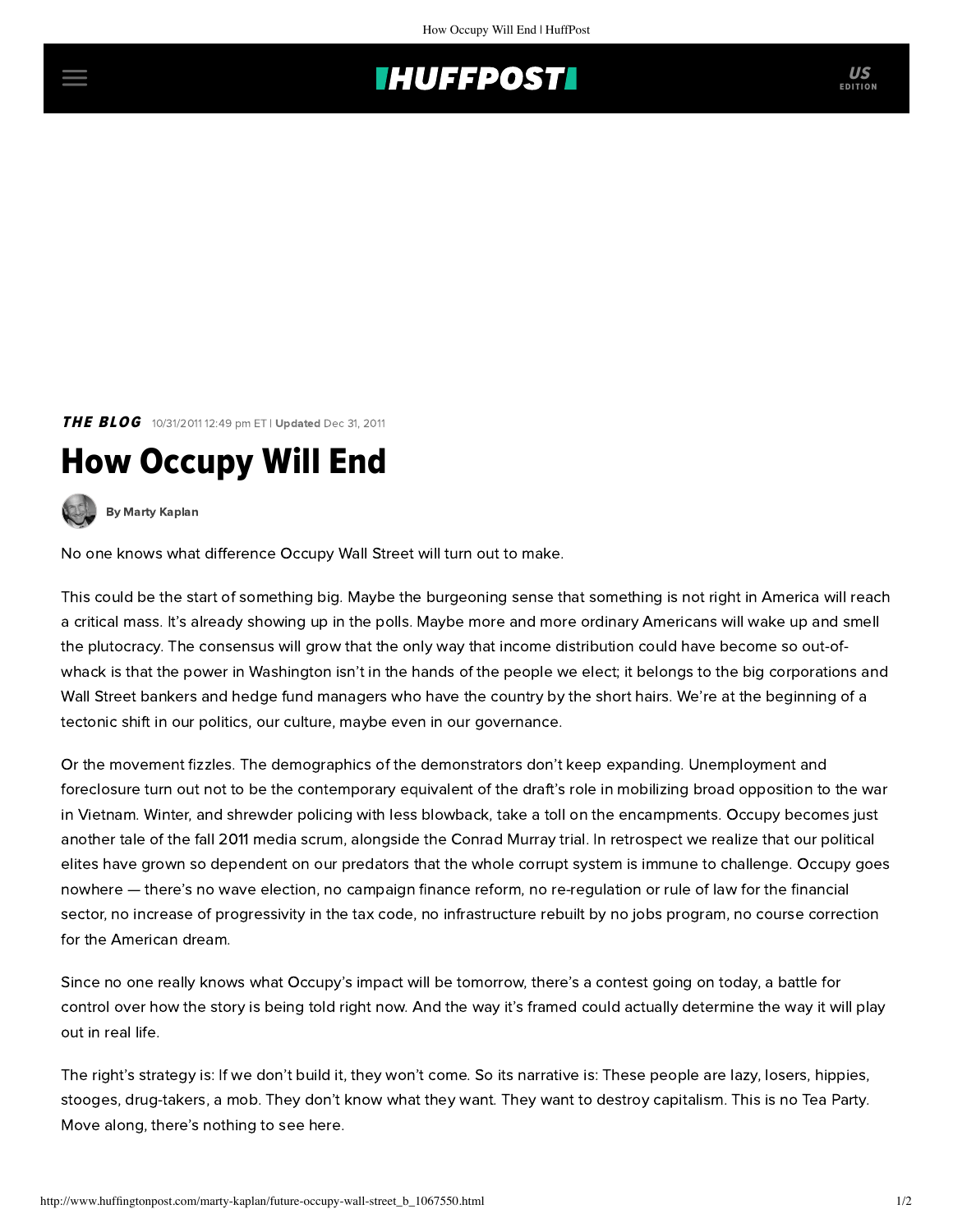## **THUFFPOSTI** US

THE BLOG 10/31/2011 12:49 pm ET | Updated Dec 31, 2011

## How Occupy Will End

[By Marty Kaplan](http://www.huffingtonpost.com/author/marty-kaplan)

No one knows what difference Occupy Wall Street will turn out to make.

This could be the start of something big. Maybe the burgeoning sense that something is not right in America will reach a critical mass. It's already showing up in the polls. Maybe more and more ordinary Americans will wake up and smell the plutocracy. The consensus will grow that the only way that income distribution could have become so out-ofwhack is that the power in Washington isn't in the hands of the people we elect; it belongs to the big corporations and Wall Street bankers and hedge fund managers who have the country by the short hairs. We're at the beginning of a tectonic shift in our politics, our culture, maybe even in our governance.

Or the movement fizzles. The demographics of the demonstrators don't keep expanding. Unemployment and foreclosure turn out not to be the contemporary equivalent of the draft's role in mobilizing broad opposition to the war in Vietnam. Winter, and shrewder policing with less blowback, take a toll on the encampments. Occupy becomes just another tale of the fall 2011 media scrum, alongside the Conrad Murray trial. In retrospect we realize that our political elites have grown so dependent on our predators that the whole corrupt system is immune to challenge. Occupy goes nowhere — there's no wave election, no campaign finance reform, no re-regulation or rule of law for the financial sector, no increase of progressivity in the tax code, no infrastructure rebuilt by no jobs program, no course correction for the American dream.

Since no one really knows what Occupy's impact will be tomorrow, there's a contest going on today, a battle for control over how the story is being told right now. And the way it's framed could actually determine the way it will play out in real life.

The right's strategy is: If we don't build it, they won't come. So its narrative is: These people are lazy, losers, hippies, stooges, drug-takers, a mob. They don't know what they want. They want to destroy capitalism. This is no Tea Party. Move along, there's nothing to see here.